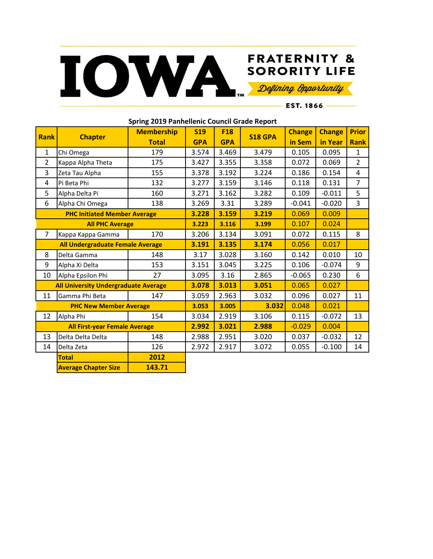

## **FRATERNITY &**

 $-$  EST. 1866  $-$ 

| Spring 2019 Panhellenic Council Grade Report |                             |                   |            |            |                |               |               |                |  |  |
|----------------------------------------------|-----------------------------|-------------------|------------|------------|----------------|---------------|---------------|----------------|--|--|
| <b>Rank</b>                                  | <b>Chapter</b>              | <b>Membership</b> | <b>S19</b> | <b>F18</b> | <b>S18 GPA</b> | <b>Change</b> | <b>Change</b> | <b>Prior</b>   |  |  |
|                                              |                             | <b>Total</b>      | <b>GPA</b> | <b>GPA</b> |                | in Sem        | in Year       | <b>Rank</b>    |  |  |
| $\mathbf{1}$                                 | Chi Omega                   | 179               | 3.574      | 3.469      | 3.479          | 0.105         | 0.095         | 1              |  |  |
| $\overline{2}$                               | Kappa Alpha Theta           | 175               | 3.427      | 3.355      | 3.358          | 0.072         | 0.069         | $\overline{2}$ |  |  |
| 3                                            | Zeta Tau Alpha              | 155               | 3.378      | 3.192      | 3.224          | 0.186         | 0.154         | 4              |  |  |
| 4                                            | Pi Beta Phi                 | 132               | 3.277      | 3.159      | 3.146          | 0.118         | 0.131         | $\overline{7}$ |  |  |
| 5                                            | Alpha Delta Pi              | 160               | 3.271      | 3.162      | 3.282          | 0.109         | $-0.011$      | 5              |  |  |
| 6                                            | Alpha Chi Omega             | 138               | 3.269      | 3.31       | 3.289          | $-0.041$      | $-0.020$      | 3              |  |  |
| <b>PHC Initiated Member Average</b>          |                             |                   | 3.228      | 3.159      | 3.219          | 0.069         | 0.009         |                |  |  |
| <b>All PHC Average</b>                       |                             | 3.223             | 3.116      | 3.199      | 0.107          | 0.024         |               |                |  |  |
| $\overline{7}$                               | Kappa Kappa Gamma           | 170               | 3.206      | 3.134      | 3.091          | 0.072         | 0.115         | 8              |  |  |
| All Undergraduate Female Average             |                             |                   | 3.191      | 3.135      | 3.174          | 0.056         | 0.017         |                |  |  |
| 8                                            | Delta Gamma                 | 148               | 3.17       | 3.028      | 3.160          | 0.142         | 0.010         | 10             |  |  |
| 9                                            | Alpha Xi Delta              | 153               | 3.151      | 3.045      | 3.225          | 0.106         | $-0.074$      | 9              |  |  |
| 10                                           | Alpha Epsilon Phi           | 27                | 3.095      | 3.16       | 2.865          | $-0.065$      | 0.230         | 6              |  |  |
| <b>All University Undergraduate Average</b>  |                             |                   | 3.078      | 3.013      | 3.051          | 0.065         | 0.027         |                |  |  |
| 11                                           | Gamma Phi Beta              | 147               | 3.059      | 2.963      | 3.032          | 0.096         | 0.027         | 11             |  |  |
| <b>PHC New Member Average</b>                |                             |                   | 3.053      | 3.005      | 3.032          | 0.048         | 0.021         |                |  |  |
| 12                                           | Alpha Phi                   | 154               | 3.034      | 2.919      | 3.106          | 0.115         | $-0.072$      | 13             |  |  |
| <b>All First-year Female Average</b>         |                             |                   | 2.992      | 3.021      | 2.988          | $-0.029$      | 0.004         |                |  |  |
| 13                                           | Delta Delta Delta           | 148               | 2.988      | 2.951      | 3.020          | 0.037         | $-0.032$      | 12             |  |  |
| 14                                           | Delta Zeta                  | 126               | 2.972      | 2.917      | 3.072          | 0.055         | $-0.100$      | 14             |  |  |
|                                              | <b>Total</b>                | 2012              |            |            |                |               |               |                |  |  |
|                                              | <b>Average Chapter Size</b> | 143.71            |            |            |                |               |               |                |  |  |